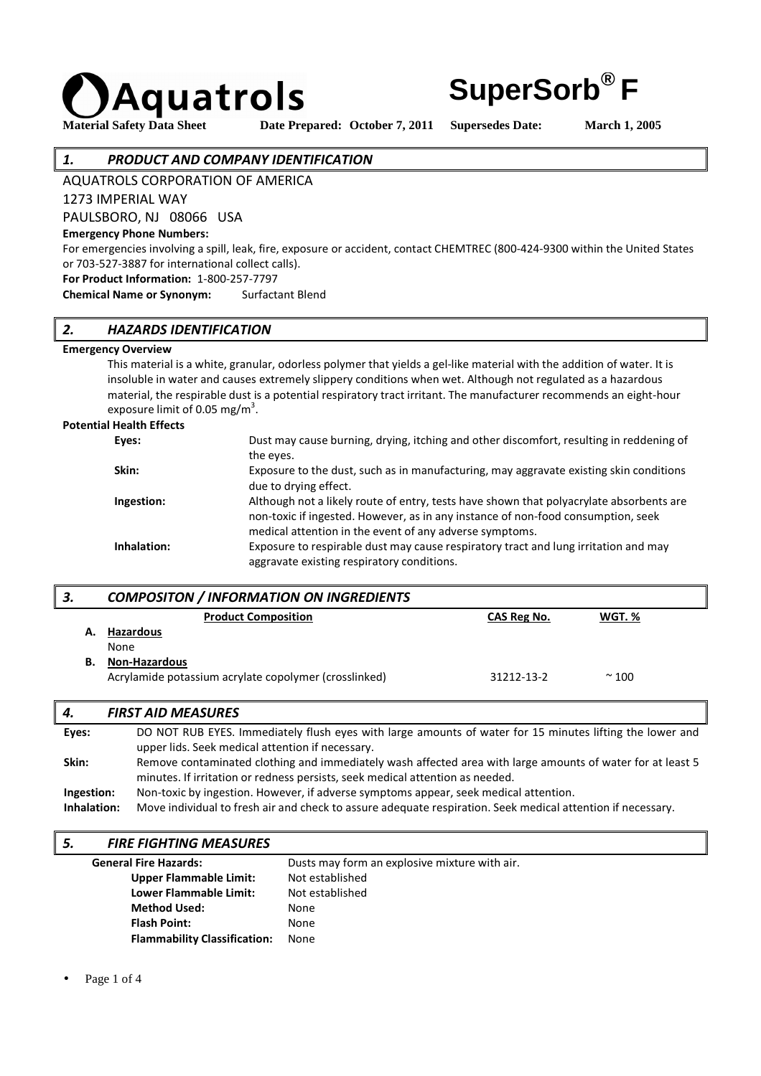

Material Safety Data Sheet Date Prepared: October 7, 2011 Supersedes Date: March 1, 2005

**SuperSorb® F**

#### *1. PRODUCT AND COMPANY IDENTIFICATION*

AQUATROLS CORPORATION OF AMERICA

1273 IMPERIAL WAY

PAULSBORO, NJ 08066 USA

#### **Emergency Phone Numbers:**

For emergencies involving a spill, leak, fire, exposure or accident, contact CHEMTREC (800-424-9300 within the United States or 703-527-3887 for international collect calls).

**For Product Information:** 1-800-257-7797

**Chemical Name or Synonym:** Surfactant Blend

### *2. HAZARDS IDENTIFICATION*

#### **Emergency Overview**

 This material is a white, granular, odorless polymer that yields a gel-like material with the addition of water. It is insoluble in water and causes extremely slippery conditions when wet. Although not regulated as a hazardous material, the respirable dust is a potential respiratory tract irritant. The manufacturer recommends an eight-hour exposure limit of 0.05 mg/m<sup>3</sup>.

#### **Potential Health Effects**

| Eyes:       | Dust may cause burning, drying, itching and other discomfort, resulting in reddening of |
|-------------|-----------------------------------------------------------------------------------------|
|             | the eyes.                                                                               |
| Skin:       | Exposure to the dust, such as in manufacturing, may aggravate existing skin conditions  |
|             | due to drying effect.                                                                   |
| Ingestion:  | Although not a likely route of entry, tests have shown that polyacrylate absorbents are |
|             | non-toxic if ingested. However, as in any instance of non-food consumption, seek        |
|             | medical attention in the event of any adverse symptoms.                                 |
| Inhalation: | Exposure to respirable dust may cause respiratory tract and lung irritation and may     |
|             | aggravate existing respiratory conditions.                                              |

# *3. COMPOSITON / INFORMATION ON INGREDIENTS*

|    | <u>conn concert had chimin for the monester is</u>    |                    |             |  |
|----|-------------------------------------------------------|--------------------|-------------|--|
|    | <b>Product Composition</b>                            | <b>CAS Reg No.</b> | WGT.%       |  |
| А. | Hazardous                                             |                    |             |  |
|    | <b>None</b>                                           |                    |             |  |
| В. | <b>Non-Hazardous</b>                                  |                    |             |  |
|    | Acrylamide potassium acrylate copolymer (crosslinked) | 31212-13-2         | $~\sim$ 100 |  |
|    |                                                       |                    |             |  |

#### *4. FIRST AID MEASURES*

| Eyes:       | DO NOT RUB EYES. Immediately flush eyes with large amounts of water for 15 minutes lifting the lower and    |
|-------------|-------------------------------------------------------------------------------------------------------------|
|             | upper lids. Seek medical attention if necessary.                                                            |
| Skin:       | Remove contaminated clothing and immediately wash affected area with large amounts of water for at least 5  |
|             | minutes. If irritation or redness persists, seek medical attention as needed.                               |
| Ingestion:  | Non-toxic by ingestion. However, if adverse symptoms appear, seek medical attention.                        |
| Inhalation: | Move individual to fresh air and check to assure adequate respiration. Seek medical attention if necessary. |
|             |                                                                                                             |

#### *5. FIRE FIGHTING MEASURES*

| <b>General Fire Hazards:</b>        | Dusts may form an explosive mixture with air. |
|-------------------------------------|-----------------------------------------------|
| <b>Upper Flammable Limit:</b>       | Not established                               |
| Lower Flammable Limit:              | Not established                               |
| <b>Method Used:</b>                 | None                                          |
| <b>Flash Point:</b>                 | None                                          |
| <b>Flammability Classification:</b> | None                                          |

Page 1 of 4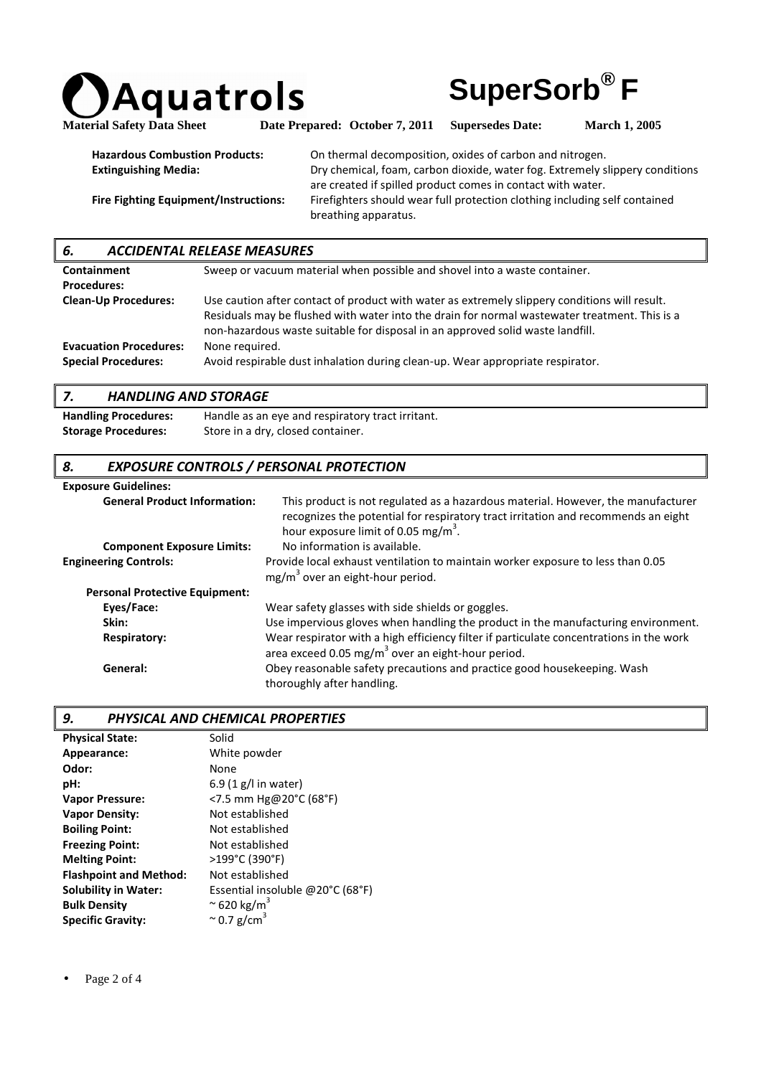



Material Safety Data Sheet Date Prepared: October 7, 2011 Supersedes Date: March 1, 2005

| <b>Hazardous Combustion Products:</b>        | On thermal decomposition, oxides of carbon and nitrogen.                     |
|----------------------------------------------|------------------------------------------------------------------------------|
| <b>Extinguishing Media:</b>                  | Dry chemical, foam, carbon dioxide, water fog. Extremely slippery conditions |
|                                              | are created if spilled product comes in contact with water.                  |
| <b>Fire Fighting Equipment/Instructions:</b> | Firefighters should wear full protection clothing including self contained   |
|                                              | breathing apparatus.                                                         |

# *6. ACCIDENTAL RELEASE MEASURES*

| Containment                   | Sweep or vacuum material when possible and shovel into a waste container.                                                                                                                                                                                                        |
|-------------------------------|----------------------------------------------------------------------------------------------------------------------------------------------------------------------------------------------------------------------------------------------------------------------------------|
| <b>Procedures:</b>            |                                                                                                                                                                                                                                                                                  |
| <b>Clean-Up Procedures:</b>   | Use caution after contact of product with water as extremely slippery conditions will result.<br>Residuals may be flushed with water into the drain for normal wastewater treatment. This is a<br>non-hazardous waste suitable for disposal in an approved solid waste landfill. |
| <b>Evacuation Procedures:</b> | None required.                                                                                                                                                                                                                                                                   |
| <b>Special Procedures:</b>    | Avoid respirable dust inhalation during clean-up. Wear appropriate respirator.                                                                                                                                                                                                   |

# *7. HANDLING AND STORAGE*

| <b>Handling Procedures:</b> | Handle as an eye and respiratory tract irritant. |
|-----------------------------|--------------------------------------------------|
| <b>Storage Procedures:</b>  | Store in a dry, closed container.                |

### *8. EXPOSURE CONTROLS / PERSONAL PROTECTION*

| <b>Exposure Guidelines:</b>           |                                                                                                                                                                                                                          |
|---------------------------------------|--------------------------------------------------------------------------------------------------------------------------------------------------------------------------------------------------------------------------|
| <b>General Product Information:</b>   | This product is not regulated as a hazardous material. However, the manufacturer<br>recognizes the potential for respiratory tract irritation and recommends an eight<br>hour exposure limit of 0.05 mg/m <sup>3</sup> . |
| <b>Component Exposure Limits:</b>     | No information is available.                                                                                                                                                                                             |
| <b>Engineering Controls:</b>          | Provide local exhaust ventilation to maintain worker exposure to less than 0.05<br>$mg/m3$ over an eight-hour period.                                                                                                    |
| <b>Personal Protective Equipment:</b> |                                                                                                                                                                                                                          |
| Eyes/Face:                            | Wear safety glasses with side shields or goggles.                                                                                                                                                                        |
| Skin:                                 | Use impervious gloves when handling the product in the manufacturing environment.                                                                                                                                        |
| <b>Respiratory:</b>                   | Wear respirator with a high efficiency filter if particulate concentrations in the work<br>area exceed 0.05 mg/m <sup>3</sup> over an eight-hour period.                                                                 |
| General:                              | Obey reasonable safety precautions and practice good housekeeping. Wash<br>thoroughly after handling.                                                                                                                    |

#### *9. PHYSICAL AND CHEMICAL PROPERTIES*

| Solid                            |
|----------------------------------|
| White powder                     |
| None                             |
| 6.9 $(1 g/l)$ in water)          |
| <7.5 mm Hg@20°C (68°F)           |
| Not established                  |
| Not established                  |
| Not established                  |
| >199°C (390°F)                   |
| Not established                  |
| Essential insoluble @20°C (68°F) |
| $\approx$ 620 kg/m <sup>3</sup>  |
| $\approx$ 0.7 g/cm <sup>3</sup>  |
|                                  |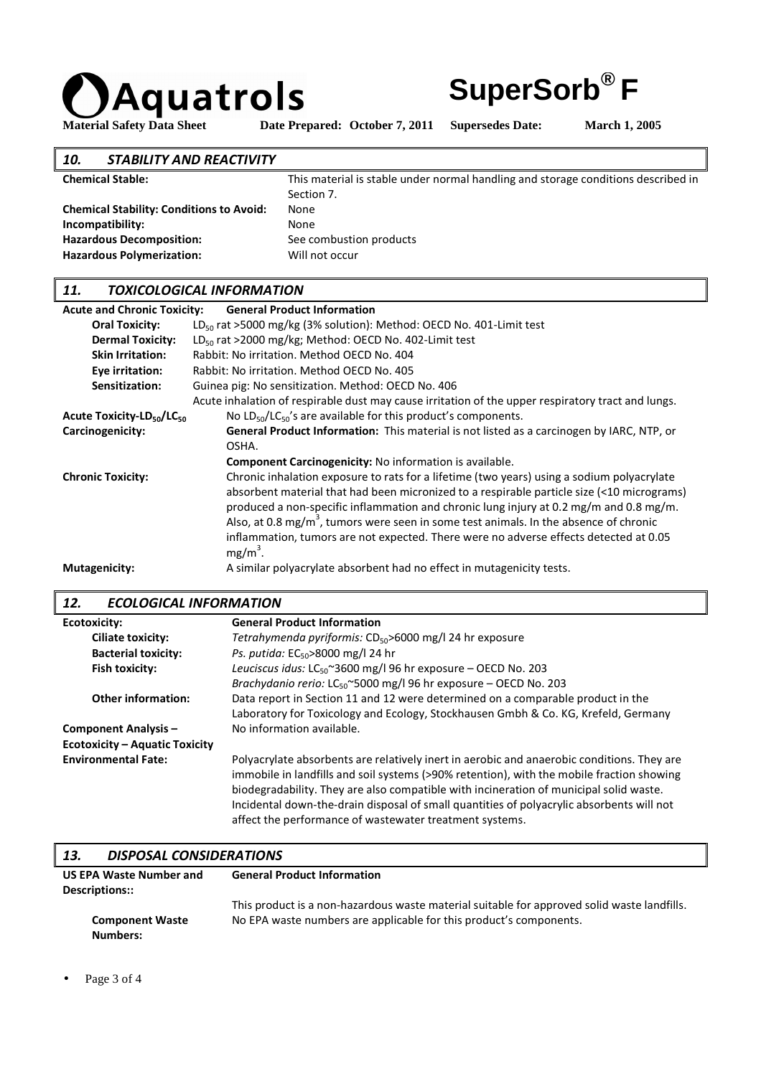



Material Safety Data Sheet Date Prepared: October 7, 2011 Supersedes Date: March 1, 2005

# *10. STABILITY AND REACTIVITY*

| TU.<br>JIMPIIII ANV NLMIIIII                    |                                                                                   |
|-------------------------------------------------|-----------------------------------------------------------------------------------|
| <b>Chemical Stable:</b>                         | This material is stable under normal handling and storage conditions described in |
|                                                 | Section 7.                                                                        |
| <b>Chemical Stability: Conditions to Avoid:</b> | None                                                                              |
| Incompatibility:                                | None                                                                              |
| <b>Hazardous Decomposition:</b>                 | See combustion products                                                           |
| <b>Hazardous Polymerization:</b>                | Will not occur                                                                    |
|                                                 |                                                                                   |

### *11. TOXICOLOGICAL INFORMATION*

| <b>Acute and Chronic Toxicity:</b>                | <b>General Product Information</b>                                                                                                                                                                                                                                                                                                                                                                                                                                                             |
|---------------------------------------------------|------------------------------------------------------------------------------------------------------------------------------------------------------------------------------------------------------------------------------------------------------------------------------------------------------------------------------------------------------------------------------------------------------------------------------------------------------------------------------------------------|
| <b>Oral Toxicity:</b>                             | $LD_{50}$ rat >5000 mg/kg (3% solution): Method: OECD No. 401-Limit test                                                                                                                                                                                                                                                                                                                                                                                                                       |
| <b>Dermal Toxicity:</b>                           | $LD_{50}$ rat >2000 mg/kg; Method: OECD No. 402-Limit test                                                                                                                                                                                                                                                                                                                                                                                                                                     |
| <b>Skin Irritation:</b>                           | Rabbit: No irritation. Method OECD No. 404                                                                                                                                                                                                                                                                                                                                                                                                                                                     |
| Eye irritation:                                   | Rabbit: No irritation. Method OECD No. 405                                                                                                                                                                                                                                                                                                                                                                                                                                                     |
| Sensitization:                                    | Guinea pig: No sensitization. Method: OECD No. 406                                                                                                                                                                                                                                                                                                                                                                                                                                             |
|                                                   | Acute inhalation of respirable dust may cause irritation of the upper respiratory tract and lungs.                                                                                                                                                                                                                                                                                                                                                                                             |
| Acute Toxicity-LD <sub>50</sub> /LC <sub>50</sub> | No $LD_{50}/LC_{50}$ 's are available for this product's components.                                                                                                                                                                                                                                                                                                                                                                                                                           |
| Carcinogenicity:                                  | General Product Information: This material is not listed as a carcinogen by IARC, NTP, or                                                                                                                                                                                                                                                                                                                                                                                                      |
|                                                   | OSHA.                                                                                                                                                                                                                                                                                                                                                                                                                                                                                          |
|                                                   | <b>Component Carcinogenicity:</b> No information is available.                                                                                                                                                                                                                                                                                                                                                                                                                                 |
| <b>Chronic Toxicity:</b>                          | Chronic inhalation exposure to rats for a lifetime (two years) using a sodium polyacrylate<br>absorbent material that had been micronized to a respirable particle size (<10 micrograms)<br>produced a non-specific inflammation and chronic lung injury at 0.2 mg/m and 0.8 mg/m.<br>Also, at 0.8 mg/m <sup>3</sup> , tumors were seen in some test animals. In the absence of chronic<br>inflammation, tumors are not expected. There were no adverse effects detected at 0.05<br>$mg/m^3$ . |
| Mutagenicity:                                     | A similar polyacrylate absorbent had no effect in mutagenicity tests.                                                                                                                                                                                                                                                                                                                                                                                                                          |

## *12. ECOLOGICAL INFORMATION*

| lz.<br>ELULUGILAL INFUNIVIA HUIV      |                                                                                                                                                                                                                                                                                                                                                                                                                                           |
|---------------------------------------|-------------------------------------------------------------------------------------------------------------------------------------------------------------------------------------------------------------------------------------------------------------------------------------------------------------------------------------------------------------------------------------------------------------------------------------------|
| <b>Ecotoxicity:</b>                   | <b>General Product Information</b>                                                                                                                                                                                                                                                                                                                                                                                                        |
| Ciliate toxicity:                     | Tetrahymenda pyriformis: $CD_{50}$ >6000 mg/l 24 hr exposure                                                                                                                                                                                                                                                                                                                                                                              |
| <b>Bacterial toxicity:</b>            | Ps. putida: EC <sub>50</sub> >8000 mg/l 24 hr                                                                                                                                                                                                                                                                                                                                                                                             |
| Fish toxicity:                        | Leuciscus idus: $LC_{50}$ ~3600 mg/l 96 hr exposure – OECD No. 203                                                                                                                                                                                                                                                                                                                                                                        |
|                                       | Brachydanio rerio: LC <sub>50</sub> ~5000 mg/l 96 hr exposure - OECD No. 203                                                                                                                                                                                                                                                                                                                                                              |
| <b>Other information:</b>             | Data report in Section 11 and 12 were determined on a comparable product in the                                                                                                                                                                                                                                                                                                                                                           |
|                                       | Laboratory for Toxicology and Ecology, Stockhausen Gmbh & Co. KG, Krefeld, Germany                                                                                                                                                                                                                                                                                                                                                        |
| <b>Component Analysis -</b>           | No information available.                                                                                                                                                                                                                                                                                                                                                                                                                 |
| <b>Ecotoxicity - Aquatic Toxicity</b> |                                                                                                                                                                                                                                                                                                                                                                                                                                           |
| <b>Environmental Fate:</b>            | Polyacrylate absorbents are relatively inert in aerobic and anaerobic conditions. They are<br>immobile in landfills and soil systems (>90% retention), with the mobile fraction showing<br>biodegradability. They are also compatible with incineration of municipal solid waste.<br>Incidental down-the-drain disposal of small quantities of polyacrylic absorbents will not<br>affect the performance of wastewater treatment systems. |

### *13. DISPOSAL CONSIDERATIONS*

| US EPA Waste Number and            | <b>General Product Information</b>                                                                                                                                |
|------------------------------------|-------------------------------------------------------------------------------------------------------------------------------------------------------------------|
| Descriptions::                     |                                                                                                                                                                   |
| <b>Component Waste</b><br>Numbers: | This product is a non-hazardous waste material suitable for approved solid waste landfills.<br>No EPA waste numbers are applicable for this product's components. |

Page 3 of 4